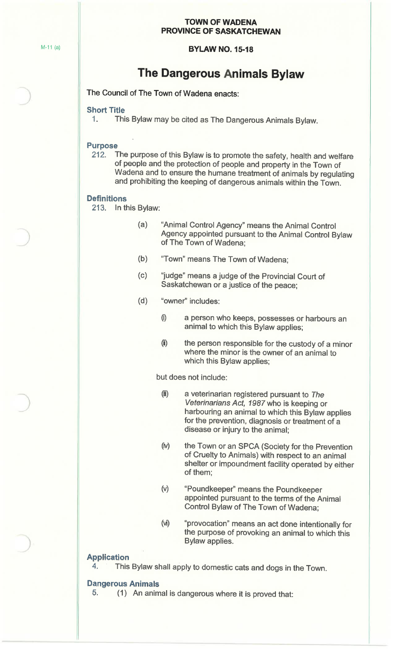#### **TOWN OF WADENA PROVINCE OF SASKATCHEWAN**

#### **BYLAW NO. 15-18**

## **The Dangerous Animals Bylaw**

The Council of The Town of Wadena enacts:

#### **Short Title**

1. This Bylaw may be cited as The Dangerous Animals Bylaw.

#### **Purpose**

212. The purpose of this Bylaw is to promote the safety, health and welfare of people and the protection of people and property in the Town of Wadena and to ensure the humane treatment of animals by regulating and prohibiting the keeping of dangerous animals within the Town.

#### **Definitions**

- 213. In this Bylaw:
	- (a) "Animal Control Agency" means the Animal Control Agency appointed pursuant to the Animal Control Bylaw of The Town of Wadena;
	- (b) "Town" means The Town of Wadena;
	- ( c) "judge" means a judge of the Provincial Court of Saskatchewan or a justice of the peace;
	- (d) "owner" includes:
		- 0) a person who keeps, possesses or harbours an animal to which this Bylaw applies;
		- (i) the person responsible for the custody of a minor where the minor is the owner of an animal to which this Bylaw applies;

but does not include:

- (ii) a veterinarian registered pursuant to The Veterinarians Act, 1987 who is keeping or harbouring an animal to which this Bylaw applies for the prevention, diagnosis or treatment of a disease or injury to the animal;
- (iv) the Town or an SPCA (Society for the Prevention of Cruelty to Animals) with respect to an animal shelter or impoundment facility operated by either of them;
- (v) "Poundkeeper'' means the Poundkeeper appointed pursuant to the terms of the Animal Control Bylaw of The Town of Wadena;
- (vi) "provocation" means an act done intentionally for the purpose of provoking an animal to which this Bylaw applies.

#### **Application**

4. This Bylaw shall apply to domestic cats and dogs in the Town.

#### **Dangerous Animals**

5. {1) An animal is dangerous where it is proved that: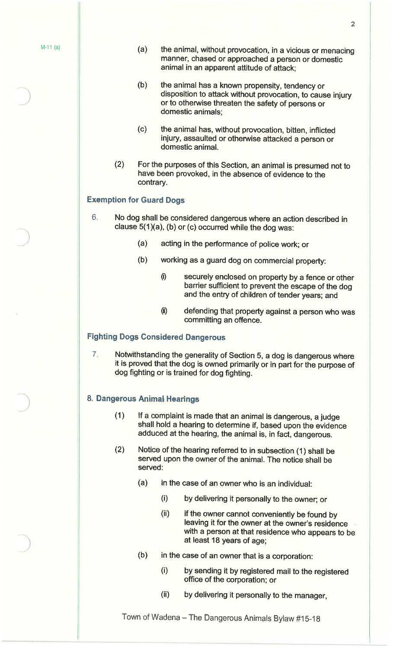- (a) the animal, without provocation, in a vicious or menacing manner, chased or approached a person or domestic animal in an apparent attitude of attack;
- (b) the animal has a known propensity, tendency or disposition to attack without provocation, to cause injury or to otherwise threaten the safety of persons or domestic animals;
- (c) the animal has, without provocation, bitten, inflicted injury, assaulted or otherwise attacked a person or domestic animal.
- (2) For the purposes of this Section, an animal is presumed not to have been provoked, in the absence of evidence to the contrary.

#### **Exemption for Guard Dogs**

- 6. No dog shall be considered dangerous where an action described in clause  $5(1)(a)$ , (b) or (c) occurred while the dog was:
	- (a) acting in the performance of police **work;** or
	- (b) working as a guard dog on commercial property:
		- 0) securely enclosed on property by a fence or other barrier sufficient to prevent the escape of the dog and the entry of children of tender years; and
		- (i) defending that property against a person who was committing an offence.

### **Fighting Dogs Considered Dangerous**

7. Notwithstanding the generality of Section 5, a dog is dangerous where it is proved that the dog is owned primarily or in part for the purpose of dog fighting or is trained for dog fighting.

## 8. **Dangerous Animal Hearings**

- (1) If a complaint is made that an animal is dangerous, a judge shall hold a hearing to determine if, based upon the evidence adduced at the hearing, the animal is, in fact, dangerous.
- (2) Notice of the hearing referred to in subsection (1) shall be served upon the owner of the animal. The notice shall be served:
	- (a) in the case of an owner who is an individual:
		- (i) by delivering it personally to the owner; or
		- (ii) if the owner cannot conveniently be found by leaving it for the owner at the owner's residence with a person at that residence who appears to be at least 18 years of age;
	- (b) in the case of an owner that is a corporation:
		- (i) by sending it by registered mail to the registered office of the corporation; or
		- (ii) by delivering it personally to the manager,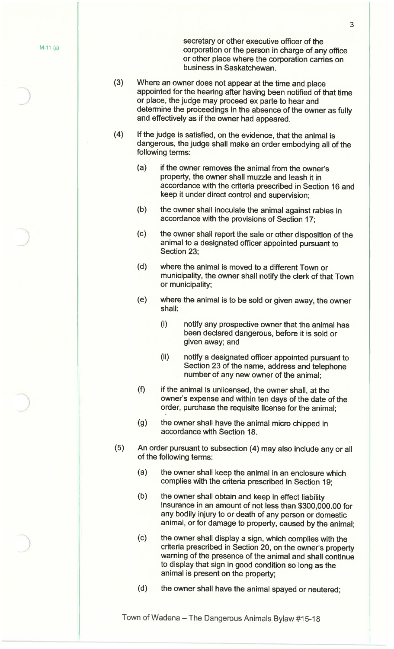secretary or other executive officer of the  $M-11$  (a)  $\qquad \qquad$  corporation or the person in charge of any office or other place where the corporation carries on business in Saskatchewan.

- (3) Where an owner does not appear at the time and place appointed for the hearing after having been notified of that time or place, the judge may proceed ex parte to hear and determine the proceedings in the absence of the owner as fully and effectively as if the owner had appeared.
- ( 4) If the judge is satisfied, on the evidence, that the animal is dangerous, the judge shall make an order embodying all of the following terms:
	- (a) if the owner removes the animal from the owner's property, the owner shall muzzle and leash it in accordance with the criteria prescribed in Section 16 and keep it under direct control and supervision;
	- (b) the owner shall inoculate the animal against rabies in accordance with the provisions of Section 17;
	- (c) the owner shall report the sale or other disposition of the animal to a designated officer appointed pursuant to Section 23;
	- (d) where the animal is moved to a different Town or municipality, the owner shall notify the clerk of that Town or municipality;
	- (e) where the animal is to be sold or given away, the owner shall:
		- (i) notify any prospective owner that the animal has been declared dangerous, before it is sold or given away; and
		- (ii) notify a designated officer appointed pursuant to Section 23 of the name, address and telephone number of any new owner of the animal;
	- (f) if the animal is unlicensed, the owner shall, at the owner's expense and within ten days of the date of the order, purchase the requisite license for the animal;
	- (g) the owner shall have the animal micro chipped in accordance with Section 18.
- (5) An order pursuant to subsection (4) may also include any or all of the following terms:
	- (a) the owner shall keep the animal in an enclosure which complies with the criteria prescribed in Section 19;
	- (b) the owner shall obtain and keep in effect liability insurance in an amount of not less than \$300,000.00 for any bodily injury to or death of any person or domestic animal, or for damage to property, caused by the animal;
	- (c) the owner shall display a sign, which complies with the criteria prescribed in Section 20, on the owner's property warning of the presence of the animal and shall continue to display that sign in good condition so long as the animal is present on the property;
	- (d) the owner shall have the animal spayed or neutered;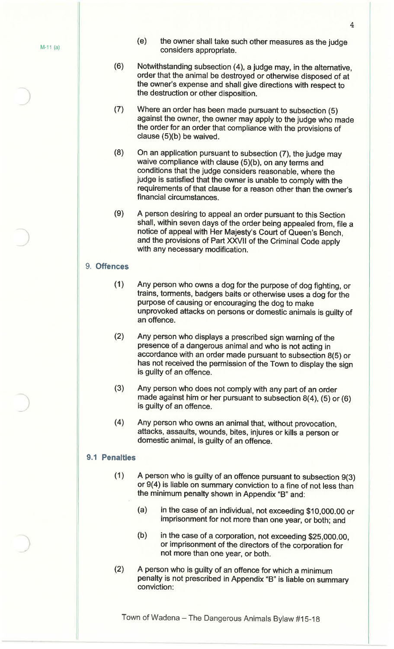)

- (e) the owner shall take such other measures as the judge considers appropriate.
- (6) Notwithstanding subsection (4), a judge may, in the alternative, order that the animal be destroyed or otherwise disposed of at the owner's expense and shall give directions with respect to the destruction or other disposition.
- (7) Where an order has been made pursuant to subsection (5) against the owner, the owner may apply to the judge who made the order for an order that compliance with the provisions of clause (5)(b) be waived.
- (8) On an application pursuant to subsection (7), the judge may waive compliance with clause (5)(b), on any terms and conditions that the judge considers reasonable, where the judge is satisfied that the owner is unable to comply with the requirements of that clause for a reason other than the owner's financial circumstances.
- (9) A person desiring to appeal an order pursuant to this Section shall, within seven days of the order being appealed from, file a notice of appeal with Her Majesty's Court of Queen's Bench, and the provisions of Part XXVII of the Criminal Code apply with any necessary modification.

#### 9. **Offences**

- (1) Any person who owns a dog for the purpose of dog fighting, or trains, torments, badgers baits or otherwise uses a dog for the purpose of causing or encouraging the dog to make unprovoked attacks on persons or domestic animals is guilty of an offence.
- (2) Any person who displays a prescribed sign warning of the presence of a dangerous animal and who is not acting in accordance with an order made pursuant to subsection 8(5) or has not received the permission of the Town to display the sign is guilty of an offence.
- (3) Any person who does not comply with any part of an order made against him or her pursuant to subsection 8(4), (5) or (6) is guilty of an offence.
- ( 4) Any person who owns an animal that, without provocation, attacks, assaults, wounds, bites, injures or kills a person or domestic animal, is guilty of an offence.

#### **9.1 Penalties**

- (1) A person who is guilty of an offence pursuant to subsection 9(3) or 9(4) is liable on summary conviction to a fine of not less than the minimum penalty shown in Appendix "B" and:
	- (a) in the case of an individual, not exceeding \$10,000.00 or imprisonment for not more than one year, or both; and
	- (b) in the case of a corporation, not exceeding \$25,000.00, or imprisonment of the directors of the corporation for not more than one year, or both.
- (2) A person who is guilty of an offence for which a minimum penalty is not prescribed in Appendix "B" is liable on summary conviction: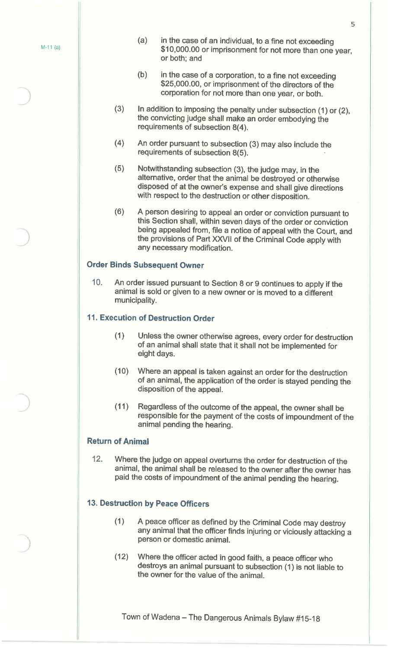- (a) in the case of an individual, to a fine not exceeding \$10,000.00 or imprisonment for not more than one year, or both; and
- (b) in the case of a corporation, to a fine not exceeding \$25,000.00, or imprisonment of the directors of the corporation for not more than one year, or both.
- (3) In addition to imposing the penalty under subsection (1) or (2), the convicting judge shall make an order embodying the requirements of subsection 8(4).
- (4) An order pursuant to subsection (3) may also include the requirements of subsection 8(5).
- (5) Notwithstanding subsection (3), the judge may, in the alternative, order that the animal be destroyed or otherwise disposed of at the owner's expense and shall give directions with respect to the destruction or other disposition.
- (6) A person desiring to appeal an order or conviction pursuant to this Section shall, within seven days of the order or conviction being appealed from, file a notice of appeal with the Court, and the provisions of Part XXVII of the Criminal Code apply with any necessary modification.

## **Order Binds Subsequent Owner**

<sup>10</sup>. An order issued pursuant to Section 8 or 9 continues to apply if the animal is sold or given to a new owner or is moved to a different municipality.

## **11. Execution of Destruction Order**

- (1) Unless the owner otherwise agrees, every order for destruction of an animal shall state that it shall not be implemented for eight days.
- (10) Where an appeal is taken against an order for the destruction of an animal, the application of the order is stayed pending the disposition of the appeal.
- ( 11) Regardless of the outcome of the appeal, the owner shall be responsible for the payment of the costs of impoundment of the animal pending the hearing.

#### **Return of Animal**

)

12. Where the judge on appeal overturns the order for destruction of the animal, the animal shall be released to the owner after the owner has paid the costs of impoundment of the animal pending the hearing.

### **13. Destruction by Peace Officers**

- ( 1) A peace officer as defined by the Criminal Code may destroy any animal that the officer finds injuring or viciously attacking a person or domestic animal.
- (12) Where the officer acted in good faith, a peace officer who destroys an animal pursuant to subsection (1) is not liable to the owner for the value of the animal.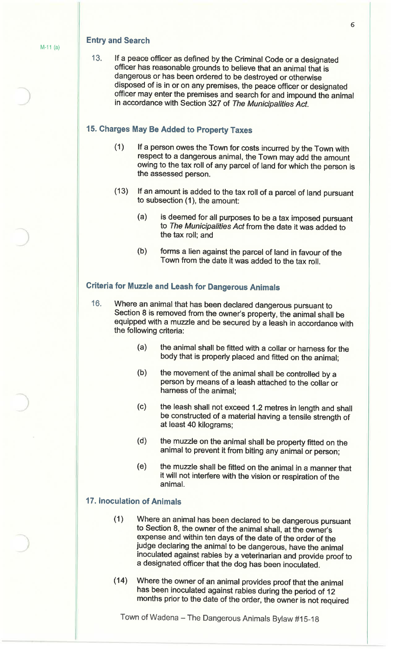#### **Entry and Search**

13. If a peace officer as defined by the Criminal Code or a designated officer has reasonable grounds to believe that an animal that is dangerous or has been ordered to be destroyed or otherwise disposed of is in or on any premises, the peace officer or designated officer may enter the premises and search for and impound the animal in accordance with Section 327 of The Municipalities Act.

## **15. Charges May Be Added to Property Taxes**

- (1) If a person owes the Town for costs incurred by the Town with respect to a dangerous animal, the Town may add the amount owing to the tax roll of any parcel of land for which the person is the assessed person.
- (13) If an amount is added to the tax roll of a parcel of land pursuant to subsection  $(1)$ , the amount:
	- (a) is deemed for all purposes to be a tax imposed pursuant to The Municipalities Act from the date it was added to the tax roll; and
	- (b) forms a lien against the parcel of land in favour of the Town from the date it was added to the tax roll.

## **Criteria for Muzzle and Leash for Dangerous Animals**

- 16. Where an animal that has been declared dangerous pursuant to Section 8 is removed from the owner's property, the animal shall be equipped with a muzzle and be secured by a leash in accordance with the following criteria:
	- (a) the animal shall be fitted with a collar or harness for the body that is properly placed and fitted on the animal;
	- (b) the movement of the animal shall be controlled by a person by means of a leash attached to the collar or harness of the animal;
	- (c) the leash shall not exceed 1.2 metres in length and shall be constructed of a material having a tensile strength of at least 40 kilograms;
	- (d) the muzzle on the animal shall be property fitted on the animal to prevent it from biting any animal or person;
	- (e) the muzzle shall be fitted on the animal in a manner that it will not interfere with the vision or respiration of the animal.

## **17. Inoculation of Animals**

- ( 1) Where an animal has been declared to be dangerous pursuant to Section 8, the owner of the animal shall, at the owner's expense and within ten days of the date of the order of the judge declaring the animal to be dangerous, have the animal inoculated against rabies by a veterinarian and provide proof to a designated officer that the dog has been inoculated.
- (14) Where the owner of an animal provides proof that the animal has been inoculated against rabies during the period of <sup>12</sup> months prior to the date of the order, the owner is not required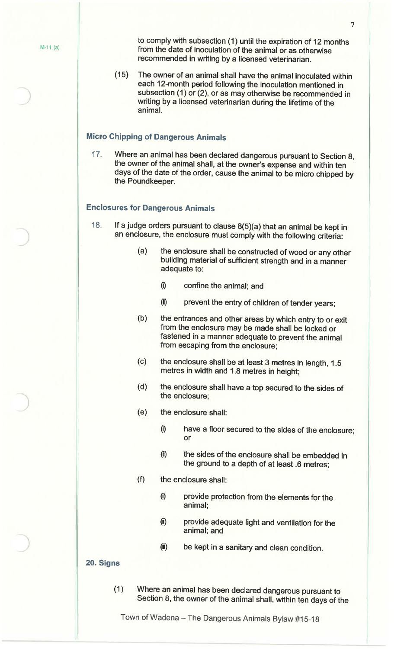to comply with subsection (1) until the expiration of 12 months  $M-11$  (a) from the date of inoculation of the animal or as otherwise recommended in writing by a licensed veterinarian.

> ( 15) The owner of an animal shall have the animal inoculated within each 12-month period following the inoculation mentioned in subsection (1) or (2), or as may otherwise be recommended in writing by a licensed veterinarian during the lifetime of the animal.

## **Micro Chipping of Dangerous Animals**

<sup>17</sup>. Where an animal has been declared dangerous pursuant to Section 8, the owner of the animal shall, at the owner's expense and within ten days of the date of the order, cause the animal to be micro chipped by the Poundkeeper.

## **Enclosures for Dangerous Animals**

- <sup>18</sup>. If a judge orders pursuant to clause 8(5)(a) that an animal be kept in an enclosure, the enclosure must comply with the following criteria:
	- (a) the enclosure shall be constructed of wood or any other building material of sufficient strength and in a manner adequate to:
		- 0) confine the animal; and
		- (i) prevent the entry of children of tender years;
	- (b) the entrances and other areas by which entry to or exit from the enclosure may be made shall be locked or fastened in a manner adequate to prevent the animal from escaping from the enclosure;
	- (c) the enclosure shall be at least 3 metres in length, 1.5 metres in width and 1 .8 metres in height;
	- (d) the enclosure shall have a top secured to the sides of the enclosure;
	- (e) the enclosure shall:
		- 0) have a floor secured to the sides of the enclosure; or
		- (i) the sides of the enclosure shall be embedded in the ground to a depth of at least .6 metres;
	- (f) the enclosure shall:
		- 0) provide protection from the elements for the animal;
		- (i) provide adequate light and ventilation for the animal; and
		- (i) be kept in a sanitary and clean condition.

#### **20. Signs**

( 1 ) Where an animal has been declared dangerous pursuant to Section 8, the owner of the animal shall, within ten days of the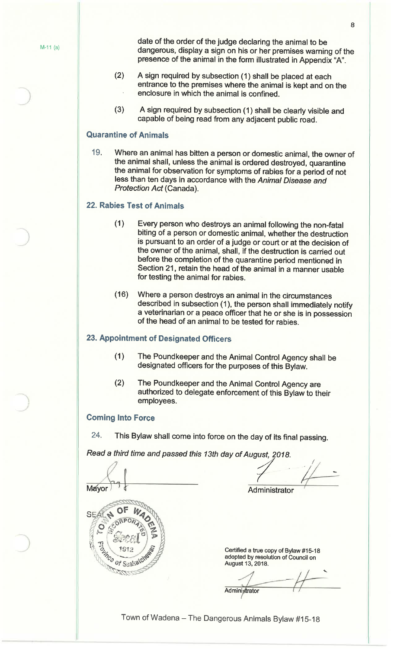date of the order of the judge declaring the animal to be  $M-11(a)$  dangerous, display a sign on his or her premises warning of the presence of the animal in the form illustrated in Appendix "A".

- (2) A sign required by subsection (1) shall be placed at each entrance to the premises where the animal is kept and on the enclosure in which the animal is confined.
- (3) A sign required by subsection (1) shall be clearly visible and capable of being read from any adjacent public road.

### **Quarantine of Animals**

19. Where an animal has bitten a person or domestic animal, the owner of the animal shall, unless the animal is ordered destroyed, quarantine the animal for observation for symptoms of rabies for a period of not less than ten days in accordance with the Animal Disease and Protection Act (Canada).

#### **22. Rabies Test of Animals**

- ( 1) Every person who destroys an animal following the non-fatal biting of a person or domestic animal, whether the destruction is pursuant to an order of a judge or court or at the decision of the owner of the animal, shall, if the destruction is carried out before the completion of the quarantine period mentioned in Section 21, retain the head of the animal in a manner usable for testing the animal for rabies.
- (16) Where a person destroys an animal in the circumstances described in subsection (1), the person shall immediately notify a veterinarian or a peace officer that he or she is in possession of the head of an animal to be tested for rabies.

#### **23. Appointment of Designated Officers**

- (1) The Pound keeper and the Animal Control Agency shall be designated officers for the purposes of this Bylaw.
- (2) The Poundkeeper and the Animal Control Agency are authorized to delegate enforcement of this Bylaw to their employees.

#### **Coming Into Force**

24. This Bylaw shall come into force on the day of its final passing.

*Read a third time and passed this 13th day of August, 2018.* 

 $M\acute{e}vor 17$ Certified a true copy of Bylaw #15-18 adopted by resolution of Council on August 13, 2018. **Administrator** 

Town of Wadena - The Dangerous Animals Bylaw #15-18

-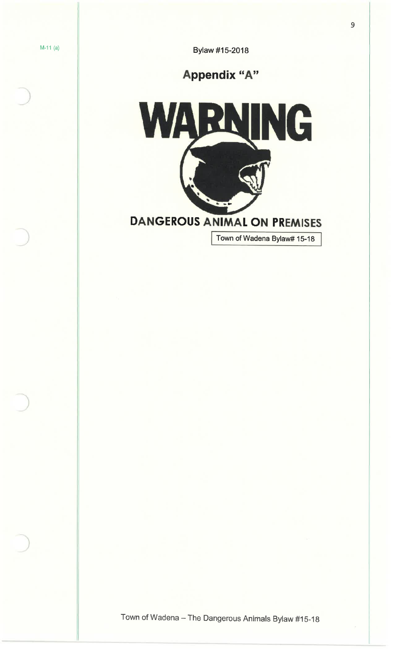M-11 (a) **Bylaw #15-2018** 

# **Appendix "A"**



Town of Wadena Bylaw# 15-18

9